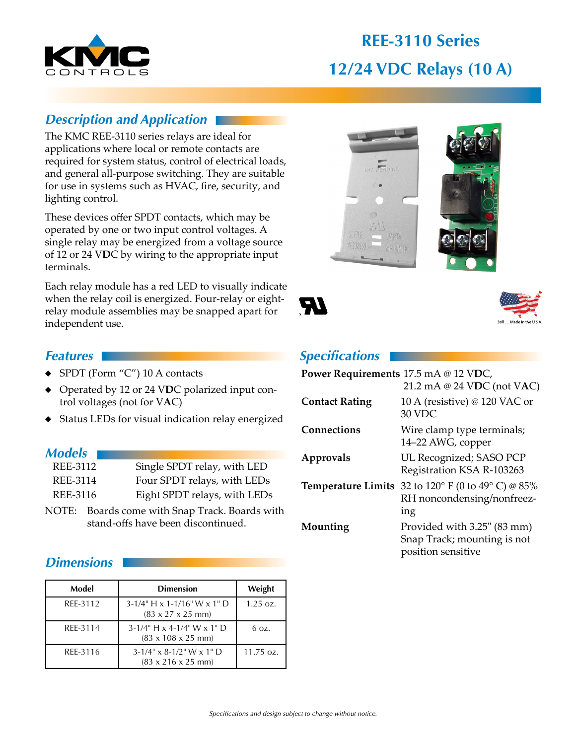

# **REE-3110 Series 12/24 VDC Relays (10 A)**

### *Description and Application*

The KMC REE-3110 series relays are ideal for applications where local or remote contacts are required for system status, control of electrical loads, and general all-purpose switching. They are suitable for use in systems such as HVAC, fire, security, and lighting control.

These devices offer SPDT contacts, which may be operated by one or two input control voltages. A single relay may be energized from a voltage source of 12 or 24 V**D**C by wiring to the appropriate input terminals.

Each relay module has a red LED to visually indicate when the relay coil is energized. Four-relay or eightrelay module assemblies may be snapped apart for independent use.

#### *Features*

- ◆ SPDT (Form "C") 10 A contacts
- ◆ Operated by 12 or 24 V**D**C polarized input control voltages (not for V**A**C)
- ◆ Status LEDs for visual indication relay energized

#### *Models*

| REE-3112 | Single SPDT relay, with LED  |
|----------|------------------------------|
| REE-3114 | Four SPDT relays, with LEDs  |
| REE-3116 | Eight SPDT relays, with LEDs |

NOTE: Boards come with Snap Track. Boards with stand-offs have been discontinued.

#### *Dimensions*

| Model    | <b>Dimension</b>                                                        | Weight               |
|----------|-------------------------------------------------------------------------|----------------------|
| REE-3112 | $3-1/4$ " H x 1-1/16" W x 1" D<br>$(83 \times 27 \times 25 \text{ mm})$ | $1.25 \text{ oz.}$   |
| REE-3114 | $3-1/4$ " H x 4-1/4" W x 1" D<br>$(83 \times 108 \times 25 \text{ mm})$ | 6.07.                |
| REE-3116 | $3-1/4$ " x 8-1/2" W x 1" D<br>$(83 \times 216 \times 25 \text{ mm})$   | $11.75 \text{ oz}$ . |







#### *Specifications*

| Power Requirements 17.5 mA @ 12 VDC, | 21.2 mA @ 24 VDC (not VAC)                                                       |
|--------------------------------------|----------------------------------------------------------------------------------|
| <b>Contact Rating</b>                | 10 A (resistive) @ 120 VAC or<br>30 VDC                                          |
| <b>Connections</b>                   | Wire clamp type terminals;<br>14-22 AWG, copper                                  |
| Approvals                            | UL Recognized; SASO PCP<br>Registration KSA R-103263                             |
| <b>Temperature Limits</b>            | 32 to 120° F (0 to 49° C) @ 85%<br>RH noncondensing/nonfreez-<br>ing             |
| Mounting                             | Provided with 3.25" (83 mm)<br>Snap Track; mounting is not<br>position sensitive |
|                                      |                                                                                  |